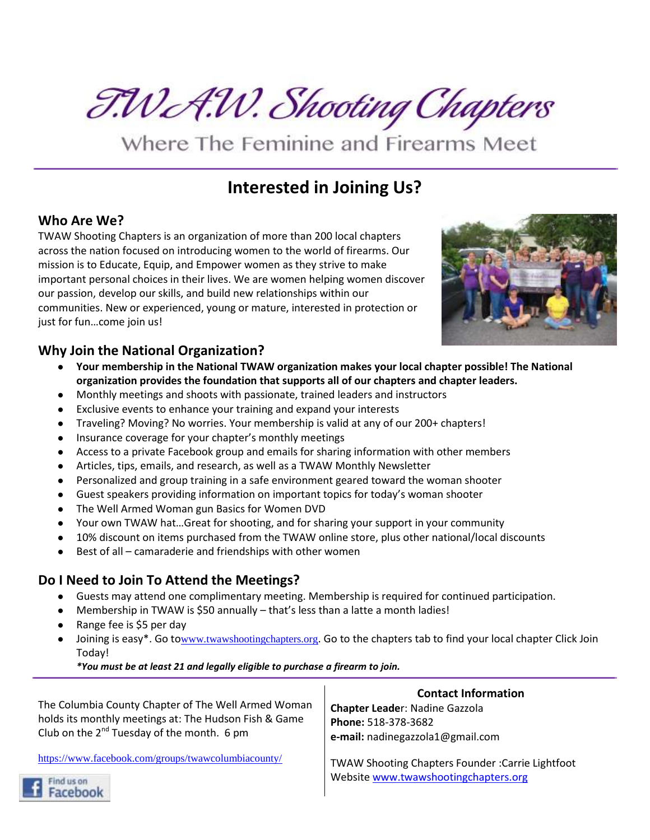T.WA.W. Shooting Chapters

Where The Feminine and Firearms Meet

## **Interested in Joining Us?**

## **Who Are We?**

TWAW Shooting Chapters is an organization of more than 200 local chapters across the nation focused on introducing women to the world of firearms. Our mission is to Educate, Equip, and Empower women as they strive to make important personal choices in their lives. We are women helping women discover our passion, develop our skills, and build new relationships within our communities. New or experienced, young or mature, interested in protection or just for fun…come join us!



## **Why Join the National Organization?**

- **Your membership in the National TWAW organization makes your local chapter possible! The National organization provides the foundation that supports all of our chapters and chapter leaders.**
- Monthly meetings and shoots with passionate, trained leaders and instructors
- Exclusive events to enhance your training and expand your interests
- Traveling? Moving? No worries. Your membership is valid at any of our 200+ chapters!
- Insurance coverage for your chapter's monthly meetings
- Access to a private Facebook group and emails for sharing information with other members
- Articles, tips, emails, and research, as well as a TWAW Monthly Newsletter
- Personalized and group training in a safe environment geared toward the woman shooter
- Guest speakers providing information on important topics for today's woman shooter
- The Well Armed Woman gun Basics for Women DVD
- Your own TWAW hat...Great for shooting, and for sharing your support in your community
- 10% discount on items purchased from the TWAW online store, plus other national/local discounts
- Best of all camaraderie and friendships with other women

## **Do I Need to Join To Attend the Meetings?**

- Guests may attend one complimentary meeting. Membership is required for continued participation.
- Membership in TWAW is \$50 annually  $-$  that's less than a latte a month ladies!
- Range fee is \$5 per day
- Joining is easy\*. Go to[www.twawshootingchapters.org](http://www.twawshootingchapters.org/). Go to the chapters tab to find your local chapter Click Join Today!

*\*You must be at least 21 and legally eligible to purchase a firearm to join.*

| The Columbia County Chapter of The Well Armed Woman<br>holds its monthly meetings at: The Hudson Fish & Game<br>Club on the $2^{nd}$ Tuesday of the month. 6 pm | <b>Contact Information</b><br><b>Chapter Leader: Nadine Gazzola</b><br>Phone: 518-378-3682<br>e-mail: nadinegazzola1@gmail.com |
|-----------------------------------------------------------------------------------------------------------------------------------------------------------------|--------------------------------------------------------------------------------------------------------------------------------|
| https://www.facebook.com/groups/twawcolumbiacounty/                                                                                                             | <b>TWAW Shooting Chapters Founder: Carrie Lightfoot</b><br>Website www.twawshootingchapters.org                                |